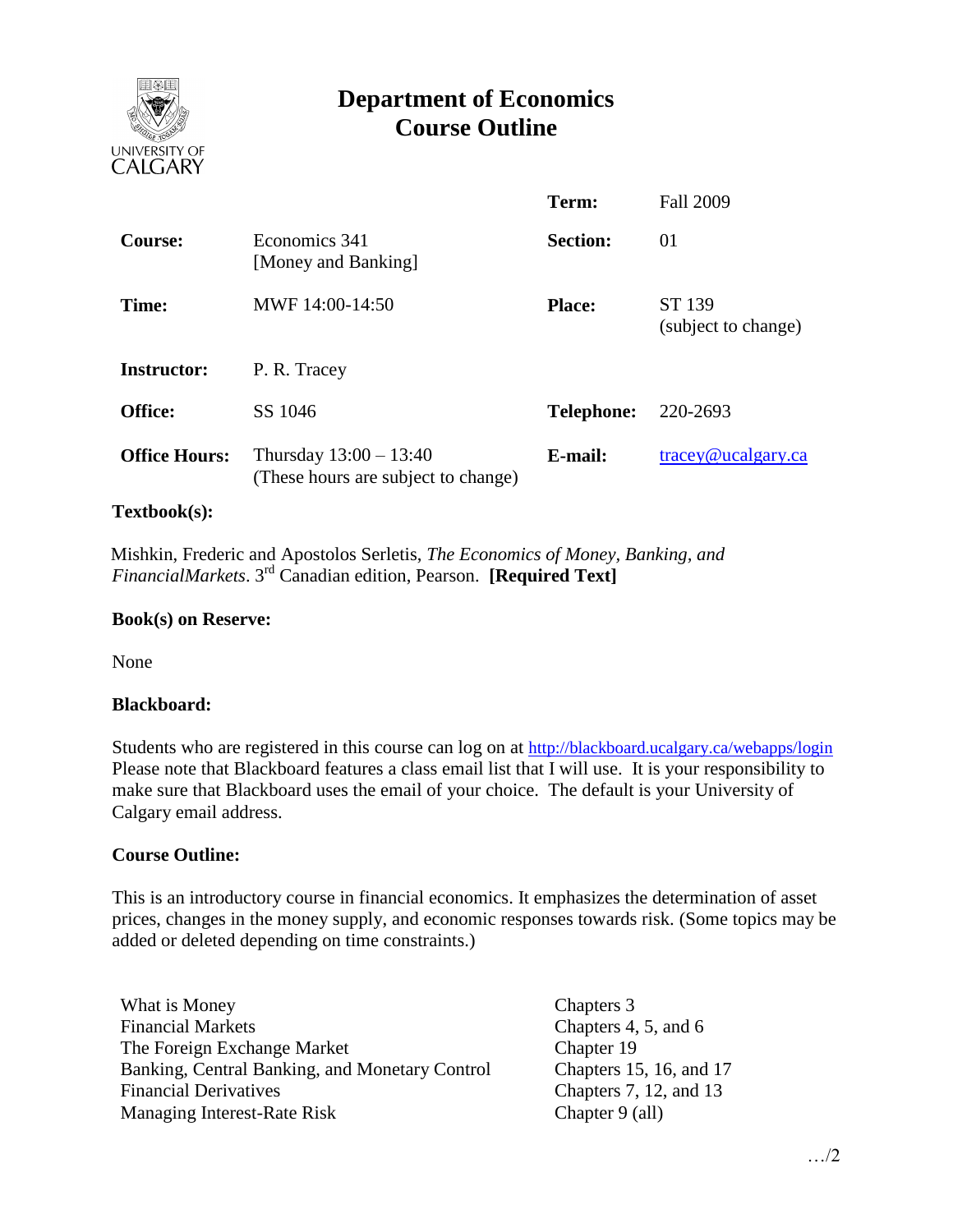

# **Department of Economics Course Outline**

|                      |                                                                 | Term:             | <b>Fall 2009</b>                 |
|----------------------|-----------------------------------------------------------------|-------------------|----------------------------------|
| <b>Course:</b>       | Economics 341<br>[Money and Banking]                            | <b>Section:</b>   | 01                               |
| Time:                | MWF 14:00-14:50                                                 | <b>Place:</b>     | ST 139<br>(subject to change)    |
| <b>Instructor:</b>   | P. R. Tracey                                                    |                   |                                  |
| <b>Office:</b>       | SS 1046                                                         | <b>Telephone:</b> | 220-2693                         |
| <b>Office Hours:</b> | Thursday $13:00 - 13:40$<br>(These hours are subject to change) | E-mail:           | $trace\$ <sub>@ucalgary.ca</sub> |

### **Textbook(s):**

 Mishkin, Frederic and Apostolos Serletis, *The Economics of Money, Banking, and*  FinancialMarkets. 3<sup>rd</sup> Canadian edition, Pearson. **[Required Text]** 

#### **Book(s) on Reserve:**

None

#### **Blackboard:**

Students who are registered in this course can log on at <http://blackboard.ucalgary.ca/webapps/login> Please note that Blackboard features a class email list that I will use. It is your responsibility to make sure that Blackboard uses the email of your choice. The default is your University of Calgary email address.

#### **Course Outline:**

This is an introductory course in financial economics. It emphasizes the determination of asset prices, changes in the money supply, and economic responses towards risk. (Some topics may be added or deleted depending on time constraints.)

What is Money Chapters 3 Financial Markets Chapters 4, 5, and 6 The Foreign Exchange Market Banking, Central Banking, and Monetary Control Financial Derivatives Managing Interest-Rate Risk

Chapter 19 Chapters 15, 16, and 17 Chapters 7, 12, and 13 Chapter 9 (all)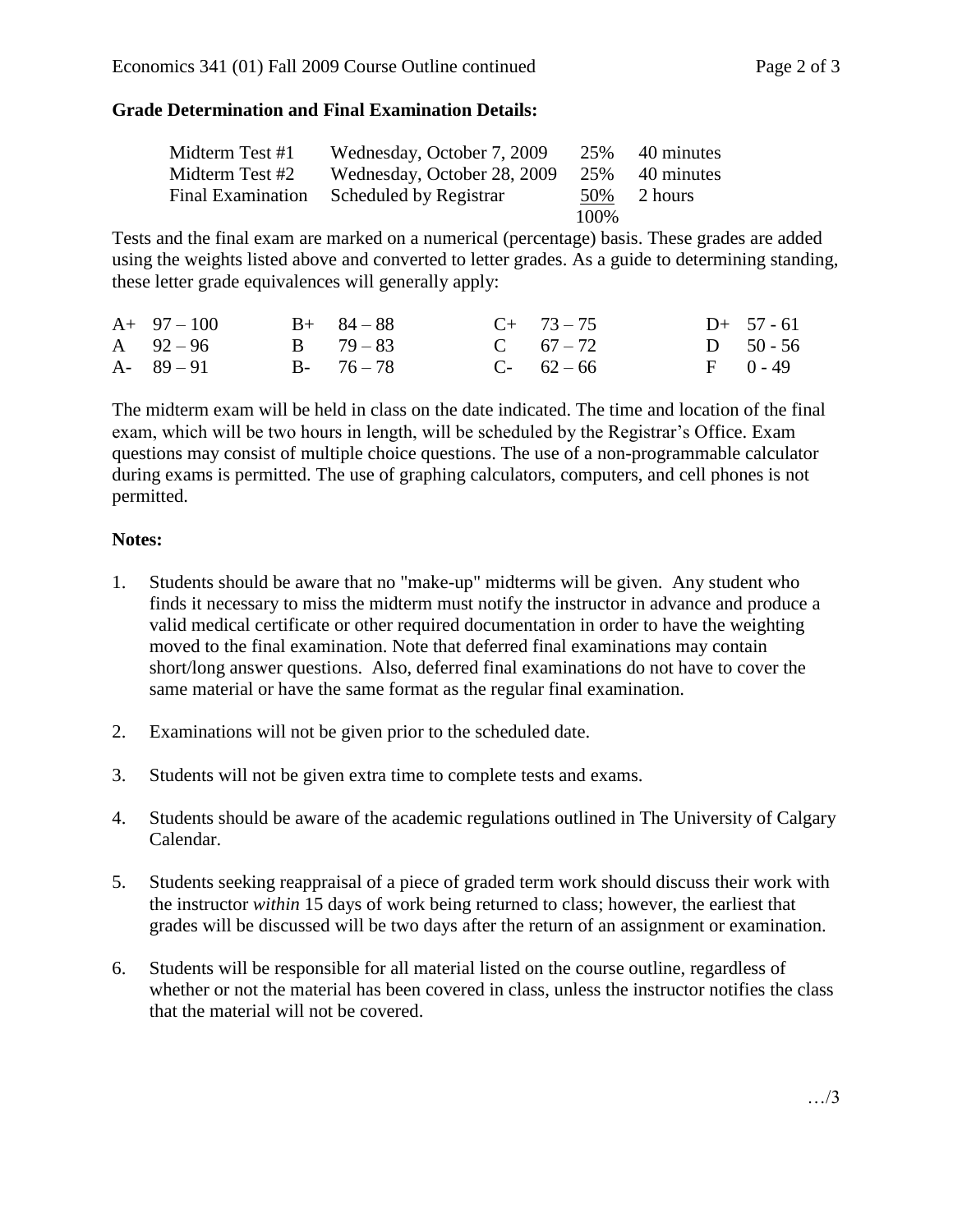## **Grade Determination and Final Examination Details:**

| Midterm Test #1          | Wednesday, October 7, 2009  | 25%   | 40 minutes |
|--------------------------|-----------------------------|-------|------------|
| Midterm Test #2          | Wednesday, October 28, 2009 | 25%   | 40 minutes |
| <b>Final Examination</b> | Scheduled by Registrar      | 50%   | 2 hours    |
|                          |                             | 100\% |            |

Tests and the final exam are marked on a numerical (percentage) basis. These grades are added using the weights listed above and converted to letter grades. As a guide to determining standing, these letter grade equivalences will generally apply:

| $A+97-100$    | $B+ 84-88$    | $C+ 73-75$  | $D+ 57 - 61$ |
|---------------|---------------|-------------|--------------|
| A $92-96$     | $B = 79 - 83$ | C $67 - 72$ | D $50 - 56$  |
| $A - 89 - 91$ | $B - 76 - 78$ | $C-62-66$   | $F = 0 - 49$ |

The midterm exam will be held in class on the date indicated. The time and location of the final exam, which will be two hours in length, will be scheduled by the Registrar's Office. Exam questions may consist of multiple choice questions. The use of a non-programmable calculator during exams is permitted. The use of graphing calculators, computers, and cell phones is not permitted.

## **Notes:**

- 1. Students should be aware that no "make-up" midterms will be given. Any student who finds it necessary to miss the midterm must notify the instructor in advance and produce a valid medical certificate or other required documentation in order to have the weighting moved to the final examination. Note that deferred final examinations may contain short/long answer questions. Also, deferred final examinations do not have to cover the same material or have the same format as the regular final examination.
- 2. Examinations will not be given prior to the scheduled date.
- 3. Students will not be given extra time to complete tests and exams.
- 4. Students should be aware of the academic regulations outlined in The University of Calgary Calendar.
- 5. Students seeking reappraisal of a piece of graded term work should discuss their work with the instructor *within* 15 days of work being returned to class; however, the earliest that grades will be discussed will be two days after the return of an assignment or examination.
- 6. Students will be responsible for all material listed on the course outline, regardless of whether or not the material has been covered in class, unless the instructor notifies the class that the material will not be covered.